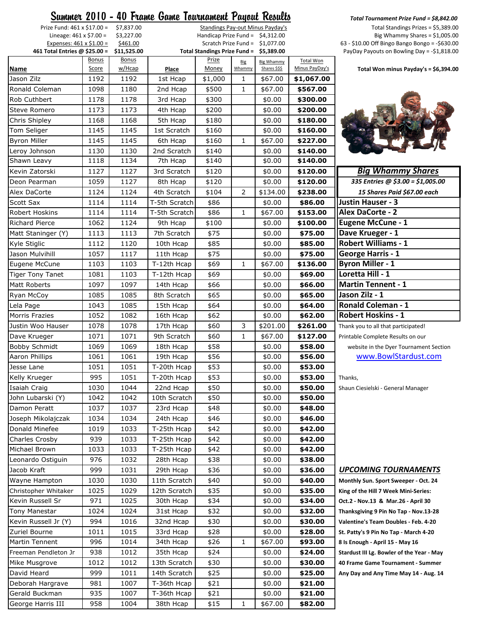|                                                           |              |                         | <u> Summer 2010 - 40 Frame Game Tournament Payout Results</u> |                                         |              |                                  |                    | Total Tournament Prize Fund = \$8,84                                                |
|-----------------------------------------------------------|--------------|-------------------------|---------------------------------------------------------------|-----------------------------------------|--------------|----------------------------------|--------------------|-------------------------------------------------------------------------------------|
| Prize Fund: 461 x \$17.00 =                               |              | \$7,837.00              |                                                               |                                         |              | Standings Pay-out Minus Payday's |                    | Total Standings Prizes = \$5,3                                                      |
| Lineage: $461 \times $7.00 =$                             |              | \$3,227.00              |                                                               | Handicap Prize Fund = $$4,312.00$       |              |                                  |                    | Big Whammy Shares = $$1,0$                                                          |
| Expenses: 461 x \$1.00 =<br>461 Total Entries @ \$25.00 = |              | \$461.00<br>\$11,525.00 |                                                               | Total Standings Prize Fund = \$5,389.00 |              | Scratch Prize Fund = $$1,077.00$ |                    | 63 - \$10.00 Off Bingo Bango Bongo = -\$6<br>PayDay Payouts on Bowling Day = -\$1,8 |
|                                                           | <b>Bonus</b> | <b>Bonus</b>            |                                                               | <b>Prize</b>                            | Big          | <b>Big Whammy</b>                | <b>Total Won</b>   |                                                                                     |
| <b>Name</b>                                               | Score        | w/Hcap                  | Place                                                         | Money                                   | Whammy       | Shares \$\$\$                    | Minus PayDay's     | Total Won minus Payday's = \$6,3                                                    |
| Jason Zilz                                                | 1192         | 1192                    | 1st Hcap                                                      | \$1,000                                 | 1            | \$67.00                          | \$1,067.00         |                                                                                     |
| Ronald Coleman                                            | 1098         | 1180                    | 2nd Hcap                                                      | \$500                                   | 1            | \$67.00                          | \$567.00           |                                                                                     |
| Rob Cuthbert                                              | 1178         | 1178                    | 3rd Hcap                                                      | \$300                                   |              | \$0.00                           | \$300.00           |                                                                                     |
| Steve Romero                                              | 1173         | 1173                    | 4th Hcap                                                      | \$200                                   |              | \$0.00                           | \$200.00           |                                                                                     |
| Chris Shipley                                             | 1168         | 1168                    | 5th Hcap                                                      | \$180                                   |              | \$0.00                           | \$180.00           |                                                                                     |
| Tom Seliger                                               | 1145         | 1145                    | 1st Scratch                                                   | \$160                                   |              | \$0.00                           | \$160.00           |                                                                                     |
| <b>Byron Miller</b>                                       | 1145         | 1145                    | 6th Hcap                                                      | \$160                                   | $\mathbf{1}$ | \$67.00                          | \$227.00           |                                                                                     |
| Leroy Johnson                                             | 1130         | 1130                    | 2nd Scratch                                                   | \$140                                   |              | \$0.00                           | \$140.00           |                                                                                     |
| Shawn Leavy                                               | 1118         | 1134                    | 7th Hcap                                                      | \$140                                   |              | \$0.00                           | \$140.00           |                                                                                     |
| Kevin Zatorski                                            | 1127         | 1127                    | 3rd Scratch                                                   | \$120                                   |              | \$0.00                           | \$120.00           | <b>Big Whammy Shares</b>                                                            |
| Deon Pearman                                              | 1059         | 1127                    | 8th Hcap                                                      | \$120                                   |              | \$0.00                           | \$120.00           | 335 Entries @ \$3.00 = \$1,005.00                                                   |
| Alex DaCorte                                              | 1124         | 1124                    | 4th Scratch                                                   | \$104                                   | 2            | \$134.00                         | \$238.00           | 15 Shares Paid \$67.00 each                                                         |
| <b>Scott Sax</b>                                          | 1114         | 1114                    | T-5th Scratch                                                 | \$86                                    |              | \$0.00                           | \$86.00            | Justin Hauser - 3                                                                   |
| Robert Hoskins                                            | 1114         | 1114                    | T-5th Scratch                                                 | \$86                                    | 1            | \$67.00                          | \$153.00           | <b>Alex DaCorte - 2</b>                                                             |
| <b>Richard Pierce</b>                                     | 1062         | 1124                    | 9th Hcap                                                      | \$100                                   |              | \$0.00                           | \$100.00           | <b>Eugene McCune - 1</b>                                                            |
| Matt Staninger (Y)                                        | 1113         | 1113                    | 7th Scratch                                                   | \$75                                    |              | \$0.00                           | \$75.00            | Dave Krueger - 1                                                                    |
| Kyle Stiglic                                              | 1112         | 1120                    | 10th Hcap                                                     | \$85                                    |              | \$0.00                           | \$85.00            | <b>Robert Williams - 1</b>                                                          |
| Jason Mulvihill                                           | 1057         | 1117                    | 11th Hcap                                                     | \$75                                    |              | \$0.00                           | \$75.00            | <b>George Harris - 1</b>                                                            |
| Eugene McCune                                             | 1103         | 1103                    | T-12th Hcap                                                   | \$69                                    | 1            | \$67.00                          | \$136.00           | <b>Byron Miller - 1</b>                                                             |
| <b>Tiger Tony Tanet</b>                                   | 1081         | 1103                    | T-12th Hcap                                                   | \$69                                    |              | \$0.00                           | \$69.00            | Loretta Hill - 1                                                                    |
| <b>Matt Roberts</b>                                       | 1097         | 1097                    | 14th Hcap                                                     | \$66                                    |              | \$0.00                           | \$66.00            | <b>Martin Tennent - 1</b>                                                           |
| Ryan McCoy                                                | 1085         | 1085                    | 8th Scratch                                                   | \$65                                    |              | \$0.00                           | \$65.00            | Jason Zilz - 1                                                                      |
| Lela Page                                                 | 1043         | 1085                    | 15th Hcap                                                     | \$64                                    |              | \$0.00                           | \$64.00            | <b>Ronald Coleman - 1</b>                                                           |
| <b>Morris Frazies</b>                                     | 1052         | 1082                    | 16th Hcap                                                     | \$62                                    |              | \$0.00                           | \$62.00            | <b>Robert Hoskins - 1</b>                                                           |
| Justin Woo Hauser                                         | 1078         | 1078                    | 17th Hcap                                                     | \$60                                    | 3            | \$201.00                         | \$261.00           | Thank you to all that participated!                                                 |
| Dave Krueger                                              | 1071         | 1071                    | 9th Scratch                                                   | \$60                                    | 1            | \$67.00                          | \$127.00           | Printable Complete Results on our                                                   |
| <b>Bobby Schmidt</b>                                      | 1069         | 1069                    | 18th Hcap                                                     | \$58                                    |              | \$0.00                           | \$58.00            | website in the Dyer Tournament Secti                                                |
| <b>Aaron Phillips</b>                                     | 1061         | 1061                    | 19th Hcap                                                     | \$56                                    |              | \$0.00                           | \$56.00            | www.BowlStardust.com                                                                |
| Jesse Lane                                                | 1051         | 1051                    | T-20th Hcap                                                   | \$53                                    |              | \$0.00                           | \$53.00            |                                                                                     |
| Kelly Krueger                                             | 995          | 1051                    | T-20th Hcap                                                   | \$53                                    |              | \$0.00                           | \$53.00            | Thanks,                                                                             |
| Isaiah Craig                                              | 1030         | 1044                    | 22nd Hcap                                                     | \$50                                    |              | \$0.00                           | \$50.00            | Shaun Ciesielski - General Manager                                                  |
| John Lubarski (Y)                                         | 1042         | 1042                    | 10th Scratch                                                  | \$50                                    |              | \$0.00                           | \$50.00            |                                                                                     |
| Damon Peratt                                              | 1037         | 1037                    | 23rd Hcap                                                     | \$48                                    |              | \$0.00                           | \$48.00            |                                                                                     |
| Joseph Mikolajczak                                        | 1034         | 1034                    | 24th Hcap                                                     | \$46                                    |              | \$0.00                           | \$46.00            |                                                                                     |
| Donald Minefee                                            | 1019         | 1033                    | T-25th Hcap                                                   | \$42                                    |              | \$0.00                           | \$42.00            |                                                                                     |
| <b>Charles Crosby</b>                                     | 939          | 1033                    | T-25th Hcap                                                   |                                         |              | \$0.00                           |                    |                                                                                     |
|                                                           |              |                         |                                                               | \$42                                    |              |                                  | \$42.00            |                                                                                     |
| Michael Brown                                             | 1033         | 1033                    | T-25th Hcap                                                   | \$42                                    |              | \$0.00                           | \$42.00            |                                                                                     |
| Leonardo Ostiguin                                         | 976<br>999   | 1032                    | 28th Hcap                                                     | \$38                                    |              | \$0.00                           | \$38.00            | <b>UPCOMING TOURNAMENTS</b>                                                         |
| Jacob Kraft<br>Wayne Hampton                              | 1030         | 1031<br>1030            | 29th Hcap                                                     | \$36<br>\$40                            |              | \$0.00                           | \$36.00<br>\$40.00 |                                                                                     |
|                                                           |              |                         | 11th Scratch                                                  |                                         |              | \$0.00                           |                    | Monthly Sun. Sport Sweeper - Oct. 24                                                |
| Christopher Whitaker                                      | 1025         | 1029                    | 12th Scratch                                                  | \$35                                    |              | \$0.00                           | \$35.00            | King of the Hill 7 Week Mini-Series:                                                |
| Kevin Russell Sr                                          | 971          | 1025                    | 30th Hcap                                                     | \$34                                    |              | \$0.00                           | \$34.00            | Oct.2 - Nov.13 & Mar.26 - April 30                                                  |
| <b>Tony Manestar</b>                                      | 1024         | 1024                    | 31st Hcap                                                     | \$32                                    |              | \$0.00                           | \$32.00            | Thanksgiving 9 Pin No Tap - Nov.13-28                                               |
| Kevin Russell Jr (Y)                                      | 994          | 1016                    | 32nd Hcap                                                     | \$30                                    |              | \$0.00                           | \$30.00            | Valentine's Team Doubles - Feb. 4-20                                                |
| Zuriel Bourne                                             | 1011         | 1015                    | 33rd Hcap                                                     | \$28                                    |              | \$0.00                           | \$28.00            | St. Patty's 9 Pin No Tap - March 4-20                                               |
| Martin Tennent                                            | 996          | 1014                    | 34th Hcap                                                     | \$26                                    | 1            | \$67.00                          | \$93.00            | 8 Is Enough - April 15 - May 16                                                     |
| Freeman Pendleton Jr                                      | 938          | 1012                    | 35th Hcap                                                     | \$24                                    |              | \$0.00                           | \$24.00            | Stardust III Lg. Bowler of the Year - May                                           |
| Mike Musgrove                                             | 1012         | 1012                    | 13th Scratch                                                  | \$30                                    |              | \$0.00                           | \$30.00            | 40 Frame Game Tournament - Summer                                                   |
| David Heard                                               | 999          | 1011                    | 14th Scratch                                                  | \$25                                    |              | \$0.00                           | \$25.00            | Any Day and Any Time May 14 - Aug. 14                                               |
| Deborah Hargrave                                          | 981          | 1007                    | T-36th Hcap                                                   | \$21                                    |              | \$0.00                           | \$21.00            |                                                                                     |
| Gerald Buckman                                            | 935          | 1007                    | T-36th Hcap                                                   | \$21                                    |              | \$0.00                           | \$21.00            |                                                                                     |
| George Harris III                                         | 958          | 1004                    | 38th Hcap                                                     | \$15                                    | 1            | \$67.00                          | \$82.00            |                                                                                     |

*Summer 2010 - 40 Frame Game Tournament Payout Results Total Tournament Prize Fund = \$8,842.00*  $Total Standards Prices = $5,389.00$ Big Whammy Shares =  $$1,005.00$ Off Bingo Bango Bongo = -\$630.00 **461 Total Entries @ \$25.00 = \$11,525.00 Total Standings Prize Fund = \$5,389.00** PayDay Payouts on Bowling Day = -\$1,818.00

Minus PayDay's **Total Won minus Payday's = \$6,394.00**



| <b>Big Whammy Shares</b>            |
|-------------------------------------|
| 335 Entries @ \$3.00 = \$1,005.00   |
| 15 Shares Paid \$67.00 each         |
| <b>Justin Hauser - 3</b>            |
| <b>Alex DaCorte - 2</b>             |
| <b>Eugene McCune - 1</b>            |
| Dave Krueger - 1                    |
| <b>Robert Williams - 1</b>          |
| <b>George Harris - 1</b>            |
| <b>Byron Miller - 1</b>             |
| Loretta Hill - 1                    |
| <b>Martin Tennent - 1</b>           |
| Jason Zilz - 1                      |
| <b>Ronald Coleman - 1</b>           |
| <b>Robert Hoskins - 1</b>           |
| Thank you to all that participated! |

## Jacob Kraft 999 1031 29th Hcap \$36 \$0.00 **\$36.00** *UPCOMING TOURNAMENTS*

nplete Results on our the Dyer Tournament Section v.BowlStardust.com